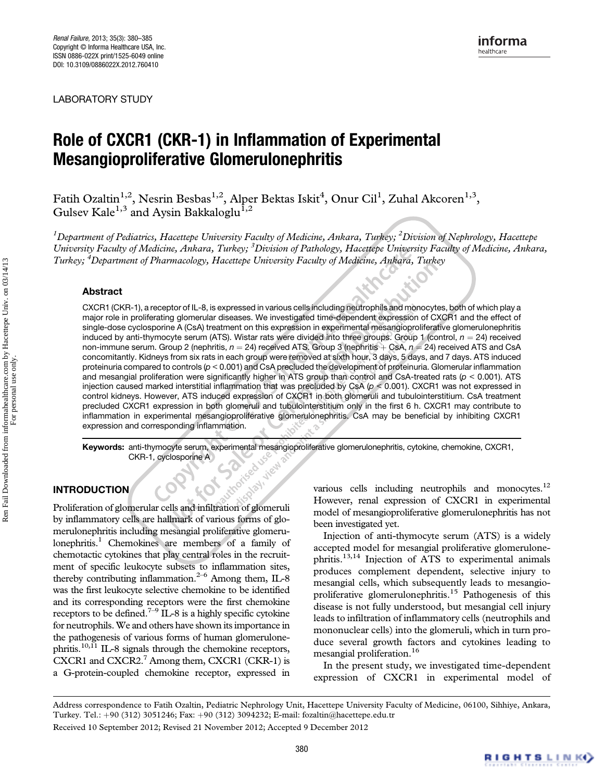LABORATORY STUDY

# **Mesangionroliferative Glomerulonenhritis** Mesangioproliferative Glomerulonephritis

Fatih Ozaltin $^{1,2}$ , Nesrin Besbas $^{1,2}$ , Alper Bektas Iskit $^4$ , Onur Cil<sup>1</sup>, Zuhal Akcoren $^{1,3}$ , Gulsev Kale<sup>1,3</sup> and Aysin Bakkaloglu<sup>1,2</sup>

 $^1$ Department of Pediatrics, Hacettepe University Faculty of Medicine, Ankara, Turkey;  $^2$ Division of Nephrology, Hacettepe University Faculty of Medicine, Ankara, Turkey; <sup>3</sup> Division of Pathology, Hacettepe University Faculty of Medicine, Ankara, Turkey; <sup>4</sup>Department of Pharmacology, Hacettepe University Faculty of Medicine, Ankara, Turkey

## Abstract

CXCR1 (CKR-1), a receptor of IL-8, is expressed in various cells including neutrophils and monocytes, both of which play a major role in proliferating glomerular diseases. We investigated time-dependent expression of CXCR1 and the effect of single-dose cyclosporine A (CsA) treatment on this expression in experimental mesangioproliferative glomerulonephritis induced by anti-thymocyte serum (ATS). Wistar rats were divided into three groups. Group 1 (control,  $n = 24$ ) received non-immune serum. Group 2 (nephritis,  $n = 24$ ) received ATS. Group 3 (nephritis  $+$  CsA,  $n = 24$ ) received ATS and CsA concomitantly. Kidneys from six rats in each group were removed at sixth hour, 3 days, 5 days, and 7 days. ATS induced proteinuria compared to controls (p < 0.001) and CsA precluded the development of proteinuria. Glomerular inflammation and mesangial proliferation were significantly higher in ATS group than control and CsA-treated rats ( $p < 0.001$ ). ATS injection caused marked interstitial inflammation that was precluded by CsA ( $p < 0.001$ ). CXCR1 was not expressed in control kidneys. However, ATS induced expression of CXCR1 in both glomeruli and tubulointerstitium. CsA treatment precluded CXCR1 expression in both glomeruli and tubulointerstitium only in the first 6 h. CXCR1 may contribute to inflammation in experimental mesangioproliferative glomerulonephritis. CsA may be beneficial by inhibiting CXCR1 expression and corresponding inflammation.

Keywords: anti-thymocyte serum, experimental mesangioproliferative glomerulonephritis, cytokine, chemokine, CXCR1,<br>CKR-1, cyclosporine A<br>DDUCTION CKR-1, cyclosporine A Spay, view

# INTRODUCTION

Proliferation of glomerular cells and infiltration of glomeruli by inflammatory cells are hallmark of various forms of glomerulonephritis including mesangial proliferative glomerulonephritis.<sup>1</sup> Chemokines are members of a family of chemotactic cytokines that play central roles in the recruitment of specific leukocyte subsets to inflammation sites, thereby contributing inflammation. $2-6$  Among them, IL-8 was the first leukocyte selective chemokine to be identified and its corresponding receptors were the first chemokine receptors to be defined.<sup>7–9</sup> IL-8 is a highly specific cytokine for neutrophils.We and others have shown its importance in the pathogenesis of various forms of human glomerulonephritis.<sup>10,11</sup> IL-8 signals through the chemokine receptors, CXCR1 and CXCR2. $7$  Among them, CXCR1 (CKR-1) is a G-protein-coupled chemokine receptor, expressed in

various cells including neutrophils and monocytes.<sup>12</sup> However, renal expression of CXCR1 in experimental model of mesangioproliferative glomerulonephritis has not been investigated yet.

Injection of anti-thymocyte serum (ATS) is a widely accepted model for mesangial proliferative glomerulonephritis.13,14 Injection of ATS to experimental animals produces complement dependent, selective injury to mesangial cells, which subsequently leads to mesangioproliferative glomerulonephritis.<sup>15</sup> Pathogenesis of this disease is not fully understood, but mesangial cell injury leads to infiltration of inflammatory cells (neutrophils and mononuclear cells) into the glomeruli, which in turn produce several growth factors and cytokines leading to mesangial proliferation.<sup>16</sup>

In the present study, we investigated time-dependent expression of CXCR1 in experimental model of

Address correspondence to Fatih Ozaltin, Pediatric Nephrology Unit, Hacettepe University Faculty of Medicine, 06100, Sihhiye, Ankara, Turkey. Tel.: þ90 (312) 3051246; Fax: þ90 (312) 3094232; E-mail: fozaltin@hacettepe.edu.tr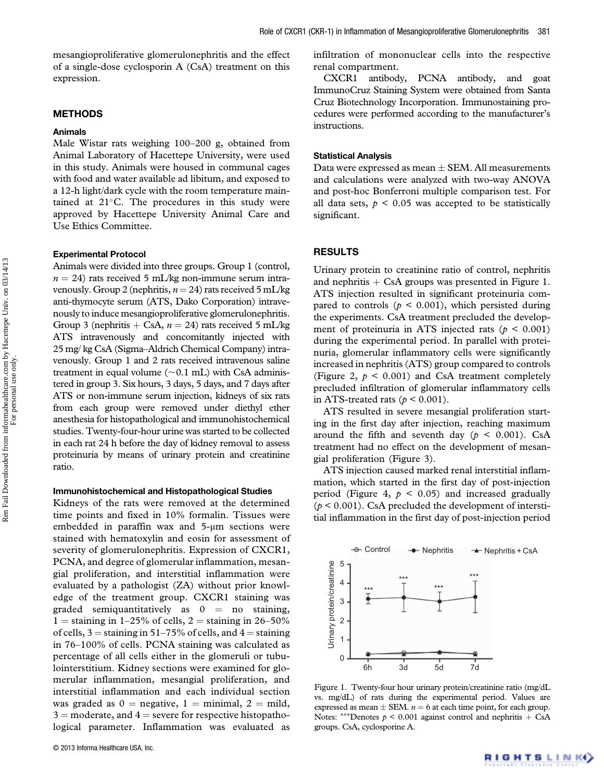mesangioproliferative glomerulonephritis and the effect of a single-dose cyclosporin A (CsA) treatment on this expression.

## METHODS

## Animals

Male Wistar rats weighing 100–200 g, obtained from Animal Laboratory of Hacettepe University, were used in this study. Animals were housed in communal cages with food and water available ad libitum, and exposed to a 12-h light/dark cycle with the room temperature maintained at  $21^{\circ}$ C. The procedures in this study were approved by Hacettepe University Animal Care and Use Ethics Committee.

#### Experimental Protocol

Animals were divided into three groups. Group 1 (control,  $n = 24$ ) rats received 5 mL/kg non-immune serum intravenously. Group 2 (nephritis,  $n = 24$ ) rats received 5 mL/kg anti-thymocyte serum (ATS, Dako Corporation) intravenously to induce mesangioproliferative glomerulonephritis. Group 3 (nephritis  $+$  CsA,  $n = 24$ ) rats received 5 mL/kg ATS intravenously and concomitantly injected with 25 mg/ kg CsA (Sigma–Aldrich Chemical Company) intravenously. Group 1 and 2 rats received intravenous saline treatment in equal volume  $(\sim 0.1 \text{ mL})$  with CsA administered in group 3. Six hours, 3 days, 5 days, and 7 days after ATS or non-immune serum injection, kidneys of six rats from each group were removed under diethyl ether anesthesia for histopathological and immunohistochemical studies. Twenty-four-hour urine was started to be collected in each rat 24 h before the day of kidney removal to assess proteinuria by means of urinary protein and creatinine ratio.

#### Immunohistochemical and Histopathological Studies

Kidneys of the rats were removed at the determined time points and fixed in 10% formalin. Tissues were embedded in paraffin wax and 5-μm sections were stained with hematoxylin and eosin for assessment of severity of glomerulonephritis. Expression of CXCR1, PCNA, and degree of glomerular inflammation, mesangial proliferation, and interstitial inflammation were evaluated by a pathologist (ZA) without prior knowledge of the treatment group. CXCR1 staining was graded semiquantitatively as  $0 =$  no staining, 1 = staining in 1–25% of cells, 2 = staining in 26–50% of cells,  $3 =$  staining in 51–75% of cells, and  $4 =$  staining in 76–100% of cells. PCNA staining was calculated as percentage of all cells either in the glomeruli or tubulointerstitium. Kidney sections were examined for glomerular inflammation, mesangial proliferation, and interstitial inflammation and each individual section was graded as  $0 =$  negative,  $1 =$  minimal,  $2 =$  mild,  $3 =$  moderate, and  $4 =$  severe for respective histopathological parameter. Inflammation was evaluated as

infiltration of mononuclear cells into the respective renal compartment.

CXCR1 antibody, PCNA antibody, and goat ImmunoCruz Staining System were obtained from Santa Cruz Biotechnology Incorporation. Immunostaining procedures were performed according to the manufacturer's instructions.

## Statistical Analysis

Data were expressed as mean  $\pm$  SEM. All measurements and calculations were analyzed with two-way ANOVA and post-hoc Bonferroni multiple comparison test. For all data sets,  $p < 0.05$  was accepted to be statistically significant.

## RESULTS

Urinary protein to creatinine ratio of control, nephritis and nephritis  $+$  CsA groups was presented in Figure 1. ATS injection resulted in significant proteinuria compared to controls ( $p \le 0.001$ ), which persisted during the experiments. CsA treatment precluded the development of proteinuria in ATS injected rats ( $p < 0.001$ ) during the experimental period. In parallel with proteinuria, glomerular inflammatory cells were significantly increased in nephritis (ATS) group compared to controls (Figure 2,  $p < 0.001$ ) and CsA treatment completely precluded infiltration of glomerular inflammatory cells in ATS-treated rats ( $p < 0.001$ ).

ATS resulted in severe mesangial proliferation starting in the first day after injection, reaching maximum around the fifth and seventh day ( $p \le 0.001$ ). CsA treatment had no effect on the development of mesangial proliferation (Figure 3).

ATS injection caused marked renal interstitial inflammation, which started in the first day of post-injection period (Figure 4,  $p < 0.05$ ) and increased gradually  $(p < 0.001)$ . CsA precluded the development of interstitial inflammation in the first day of post-injection period



Figure 1. Twenty-four hour urinary protein/creatinine ratio (mg/dL vs. mg/dL) of rats during the experimental period. Values are expressed as mean  $\pm$  SEM.  $n = 6$  at each time point, for each group. Notes: \*\*\*Denotes  $p \le 0.001$  against control and nephritis + CsA groups. CsA, cyclosporine A.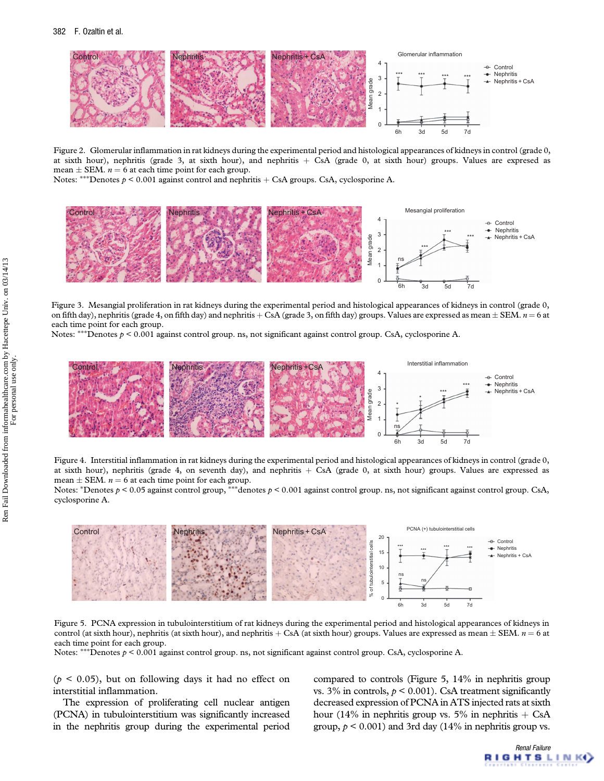

Figure 2. Glomerular inflammation in rat kidneys during the experimental period and histological appearances of kidneys in control (grade 0, at sixth hour), nephritis (grade 3, at sixth hour), and nephritis  $+$  CsA (grade 0, at sixth hour) groups. Values are expresed as mean  $\pm$  SEM.  $n = 6$  at each time point for each group.

Notes: \*\*\*Denotes  $p \le 0.001$  against control and nephritis  $+$  CsA groups. CsA, cyclosporine A.



Figure 3. Mesangial proliferation in rat kidneys during the experimental period and histological appearances of kidneys in control (grade 0, on fifth day), nephritis (grade 4, on fifth day) and nephritis + CsA (grade 3, on fifth day) groups. Values are expressed as mean  $\pm$  SEM.  $n = 6$  at each time point for each group.

Notes: \*\*\*Denotes  $p < 0.001$  against control group. ns, not significant against control group. CsA, cyclosporine A.



Figure 4. Interstitial inflammation in rat kidneys during the experimental period and histological appearances of kidneys in control (grade 0, at sixth hour), nephritis (grade 4, on seventh day), and nephritis  $+$  CsA (grade 0, at sixth hour) groups. Values are expressed as mean  $\pm$  SEM.  $n = 6$  at each time point for each group.

Notes: \*Denotes  $p < 0.05$  against control group, \*\*\*denotes  $p < 0.001$  against control group. ns, not significant against control group. CsA, cyclosporine A.



Figure 5. PCNA expression in tubulointerstitium of rat kidneys during the experimental period and histological appearances of kidneys in control (at sixth hour), nephritis (at sixth hour), and nephritis + CsA (at sixth hour) groups. Values are expressed as mean  $\pm$  SEM.  $n = 6$  at each time point for each group.

Notes: \*\*\*Denotes  $p \le 0.001$  against control group. ns, not significant against control group. CsA, cyclosporine A.

 $(p < 0.05)$ , but on following days it had no effect on interstitial inflammation.

The expression of proliferating cell nuclear antigen (PCNA) in tubulointerstitium was significantly increased in the nephritis group during the experimental period

compared to controls (Figure 5, 14% in nephritis group vs. 3% in controls,  $p \le 0.001$ ). CsA treatment significantly decreased expression of PCNA in ATS injected rats at sixth hour (14% in nephritis group vs. 5% in nephritis  $+$  CsA group,  $p < 0.001$ ) and 3rd day (14% in nephritis group vs.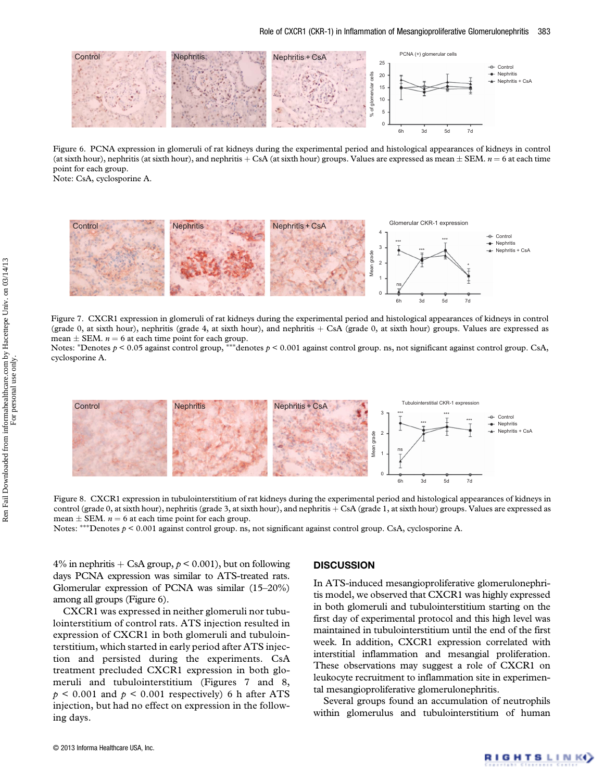

Figure 6. PCNA expression in glomeruli of rat kidneys during the experimental period and histological appearances of kidneys in control (at sixth hour), nephritis (at sixth hour), and nephritis + CsA (at sixth hour) groups. Values are expressed as mean  $\pm$  SEM.  $n = 6$  at each time point for each group.

Note: CsA, cyclosporine A.



Figure 7. CXCR1 expression in glomeruli of rat kidneys during the experimental period and histological appearances of kidneys in control (grade 0, at sixth hour), nephritis (grade 4, at sixth hour), and nephritis  $+$  CsA (grade 0, at sixth hour) groups. Values are expressed as mean  $\pm$  SEM.  $n = 6$  at each time point for each group.

Notes: \*Denotes  $p < 0.05$  against control group, \*\*\*denotes  $p < 0.001$  against control group. ns, not significant against control group. CsA, cyclosporine A.



Figure 8. CXCR1 expression in tubulointerstitium of rat kidneys during the experimental period and histological appearances of kidneys in control (grade 0, at sixth hour), nephritis (grade 3, at sixth hour), and nephritis + CsA (grade 1, at sixth hour) groups. Values are expressed as mean  $\pm$  SEM.  $n = 6$  at each time point for each group.

Notes: \*\*\*Denotes  $p \le 0.001$  against control group. ns, not significant against control group. CsA, cyclosporine A.

4% in nephritis  $+$  CsA group,  $p < 0.001$ ), but on following days PCNA expression was similar to ATS-treated rats. Glomerular expression of PCNA was similar (15–20%) among all groups (Figure 6).

CXCR1 was expressed in neither glomeruli nor tubulointerstitium of control rats. ATS injection resulted in expression of CXCR1 in both glomeruli and tubulointerstitium, which started in early period after ATS injection and persisted during the experiments. CsA treatment precluded CXCR1 expression in both glomeruli and tubulointerstitium (Figures 7 and 8,  $p \leq 0.001$  and  $p \leq 0.001$  respectively) 6 h after ATS injection, but had no effect on expression in the following days.

## **DISCUSSION**

In ATS-induced mesangioproliferative glomerulonephritis model, we observed that CXCR1 was highly expressed in both glomeruli and tubulointerstitium starting on the first day of experimental protocol and this high level was maintained in tubulointerstitium until the end of the first week. In addition, CXCR1 expression correlated with interstitial inflammation and mesangial proliferation. These observations may suggest a role of CXCR1 on leukocyte recruitment to inflammation site in experimental mesangioproliferative glomerulonephritis.

Several groups found an accumulation of neutrophils within glomerulus and tubulointerstitium of human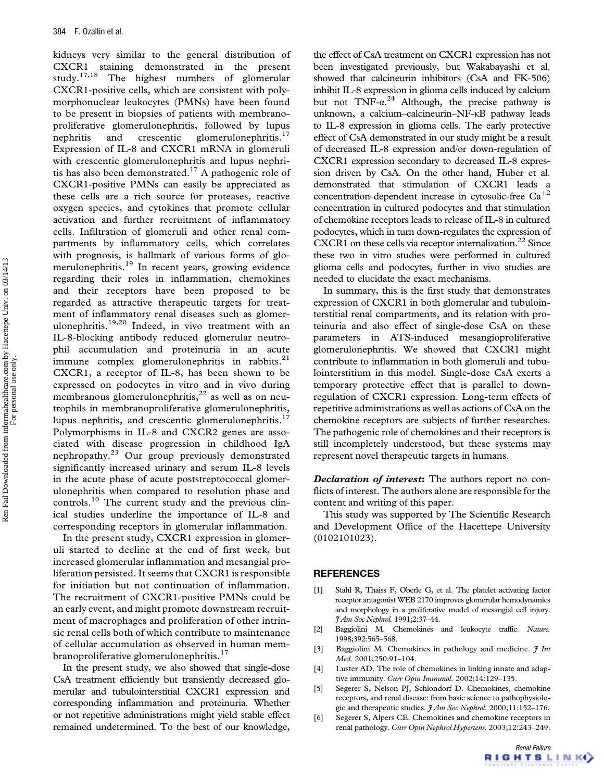kidneys very similar to the general distribution of CXCR1 staining demonstrated in the present study.17,18 The highest numbers of glomerular CXCR1-positive cells, which are consistent with polymorphonuclear leukocytes (PMNs) have been found to be present in biopsies of patients with membranoproliferative glomerulonephritis, followed by lupus nephritis and crescentic glomerulonephritis.<sup>17</sup> Expression of IL-8 and CXCR1 mRNA in glomeruli with crescentic glomerulonephritis and lupus nephritis has also been demonstrated.<sup>17</sup> A pathogenic role of CXCR1-positive PMNs can easily be appreciated as these cells are a rich source for proteases, reactive oxygen species, and cytokines that promote cellular activation and further recruitment of inflammatory cells. Infiltration of glomeruli and other renal compartments by inflammatory cells, which correlates with prognosis, is hallmark of various forms of glomerulonephritis.<sup>19</sup> In recent years, growing evidence regarding their roles in inflammation, chemokines and their receptors have been proposed to be regarded as attractive therapeutic targets for treatment of inflammatory renal diseases such as glomerulonephritis.<sup>19,20</sup> Indeed, in vivo treatment with an IL-8-blocking antibody reduced glomerular neutrophil accumulation and proteinuria in an acute immune complex glomerulonephritis in rabbits.<sup>21</sup> CXCR1, a receptor of IL-8, has been shown to be expressed on podocytes in vitro and in vivo during membranous glomerulonephritis, $^{22}$  as well as on neutrophils in membranoproliferative glomerulonephritis, lupus nephritis, and crescentic glomerulonephritis.<sup>17</sup> Polymorphisms in IL-8 and CXCR2 genes are associated with disease progression in childhood IgA nephropathy.<sup>23</sup> Our group previously demonstrated significantly increased urinary and serum IL-8 levels in the acute phase of acute poststreptococcal glomerulonephritis when compared to resolution phase and controls.<sup>10</sup> The current study and the previous clinical studies underline the importance of IL-8 and corresponding receptors in glomerular inflammation.

In the present study, CXCR1 expression in glomeruli started to decline at the end of first week, but increased glomerular inflammation and mesangial proliferation persisted. It seems that CXCR1 is responsible for initiation but not continuation of inflammation. The recruitment of CXCR1-positive PMNs could be an early event, and might promote downstream recruitment of macrophages and proliferation of other intrinsic renal cells both of which contribute to maintenance of cellular accumulation as observed in human membranoproliferative glomerulonephritis.<sup>17</sup>

In the present study, we also showed that single-dose CsA treatment efficiently but transiently decreased glomerular and tubulointerstitial CXCR1 expression and corresponding inflammation and proteinuria. Whether or not repetitive administrations might yield stable effect remained undetermined. To the best of our knowledge,

the effect of CsA treatment on CXCR1 expression has not been investigated previously, but Wakabayashi et al. showed that calcineurin inhibitors (CsA and FK-506) inhibit IL-8 expression in glioma cells induced by calcium but not  $TNF-\alpha^{24}$  Although, the precise pathway is unknown, a calcium–calcineurin–NF-κB pathway leads to IL-8 expression in glioma cells. The early protective effect of CsA demonstrated in our study might be a result of decreased IL-8 expression and/or down-regulation of CXCR1 expression secondary to decreased IL-8 expression driven by CsA. On the other hand, Huber et al. demonstrated that stimulation of CXCR1 leads a concentration-dependent increase in cytosolic-free  $Ca^{+2}$ concentration in cultured podocytes and that stimulation of chemokine receptors leads to release of IL-8 in cultured podocytes, which in turn down-regulates the expression of CXCR1 on these cells via receptor internalization.<sup>22</sup> Since these two in vitro studies were performed in cultured glioma cells and podocytes, further in vivo studies are needed to elucidate the exact mechanisms.

In summary, this is the first study that demonstrates expression of CXCR1 in both glomerular and tubulointerstitial renal compartments, and its relation with proteinuria and also effect of single-dose CsA on these parameters in ATS-induced mesangioproliferative glomerulonephritis. We showed that CXCR1 might contribute to inflammation in both glomeruli and tubulointerstitium in this model. Single-dose CsA exerts a temporary protective effect that is parallel to downregulation of CXCR1 expression. Long-term effects of repetitive administrations as well as actions of CsA on the chemokine receptors are subjects of further researches. The pathogenic role of chemokines and their receptors is still incompletely understood, but these systems may represent novel therapeutic targets in humans.

**Declaration of interest:** The authors report no conflicts of interest. The authors alone are responsible for the content and writing of this paper.

This study was supported by The Scientific Research and Development Office of the Hacettepe University (0102101023).

#### **REFERENCES**

- [1] Stahl R, Thaiss F, Oberle G, et al. The platelet activating factor receptor antagonist WEB 2170 improves glomerular hemodynamics and morphology in a proliferative model of mesangial cell injury. J Am Soc Nephrol. 1991;2:37–44.
- [2] Baggiolini M. Chemokines and leukocyte traffic. Nature. 1998;392:565–568.
- [3] Baggiolini M. Chemokines in pathology and medicine.  $\mathfrak{Z}$  Int Med. 2001;250:91–104.
- [4] Luster AD. The role of chemokines in linking innate and adaptive immunity. Curr Opin Immunol. 2002;14:129-135.
- [5] Segerer S, Nelson PJ, Schlondorf D. Chemokines, chemokine receptors, and renal disease: from basic science to pathophysiologic and therapeutic studies.  $\frac{\gamma}{4}Am$  Soc Nephrol. 2000;11:152–176.
- [6] Segerer S, Alpers CE. Chemokines and chemokine receptors in renal pathology. Curr Opin Nephrol Hypertens. 2003;12:243–249.